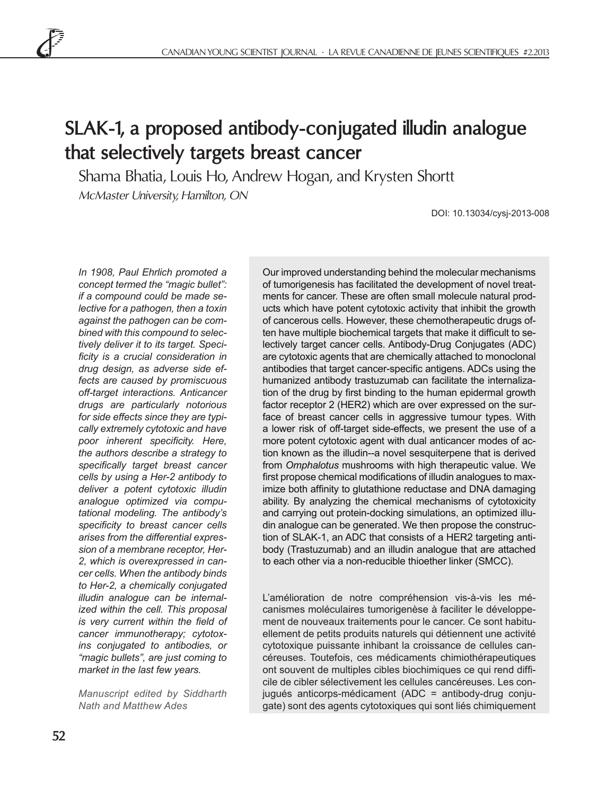# **SLAK-1, a proposed antibody-conjugated illudin analogue that selectively targets breast cancer**

Shama Bhatia, Louis Ho, Andrew Hogan, and Krysten Shortt McMaster University, Hamilton, ON

DOI: 10.13034/cysj-2013-008

*In 1908, Paul Ehrlich promoted a concept termed the "magic bullet": if a compound could be made selective for a pathogen, then a toxin against the pathogen can be combined with this compound to selectively deliver it to its target. Specificity is a crucial consideration in drug design, as adverse side effects are caused by promiscuous off-target interactions. Anticancer drugs are particularly notorious for side effects since they are typically extremely cytotoxic and have poor inherent specificity. Here, the authors describe a strategy to specifically target breast cancer cells by using a Her-2 antibody to deliver a potent cytotoxic illudin analogue optimized via computational modeling. The antibody's specificity to breast cancer cells arises from the differential expression of a membrane receptor, Her-2, which is overexpressed in cancer cells. When the antibody binds to Her-2, a chemically conjugated illudin analogue can be internalized within the cell. This proposal is very current within the field of cancer immunotherapy; cytotoxins conjugated to antibodies, or "magic bullets", are just coming to market in the last few years.*

*Manuscript edited by Siddharth Nath and Matthew Ades*

Our improved understanding behind the molecular mechanisms of tumorigenesis has facilitated the development of novel treatments for cancer. These are often small molecule natural products which have potent cytotoxic activity that inhibit the growth of cancerous cells. However, these chemotherapeutic drugs often have multiple biochemical targets that make it difficult to selectively target cancer cells. Antibody-Drug Conjugates (ADC) are cytotoxic agents that are chemically attached to monoclonal antibodies that target cancer-specific antigens. ADCs using the humanized antibody trastuzumab can facilitate the internalization of the drug by first binding to the human epidermal growth factor receptor 2 (HER2) which are over expressed on the surface of breast cancer cells in aggressive tumour types. With a lower risk of off-target side-effects, we present the use of a more potent cytotoxic agent with dual anticancer modes of action known as the illudin--a novel sesquiterpene that is derived from *Omphalotus* mushrooms with high therapeutic value. We first propose chemical modifications of illudin analogues to maximize both affinity to glutathione reductase and DNA damaging ability. By analyzing the chemical mechanisms of cytotoxicity and carrying out protein-docking simulations, an optimized illudin analogue can be generated. We then propose the construction of SLAK-1, an ADC that consists of a HER2 targeting antibody (Trastuzumab) and an illudin analogue that are attached to each other via a non-reducible thioether linker (SMCC).

L'amélioration de notre compréhension vis-à-vis les mécanismes moléculaires tumorigenèse à faciliter le développement de nouveaux traitements pour le cancer. Ce sont habituellement de petits produits naturels qui détiennent une activité cytotoxique puissante inhibant la croissance de cellules cancéreuses. Toutefois, ces médicaments chimiothérapeutiques ont souvent de multiples cibles biochimiques ce qui rend difficile de cibler sélectivement les cellules cancéreuses. Les conjugués anticorps-médicament (ADC = antibody-drug conjugate) sont des agents cytotoxiques qui sont liés chimiquement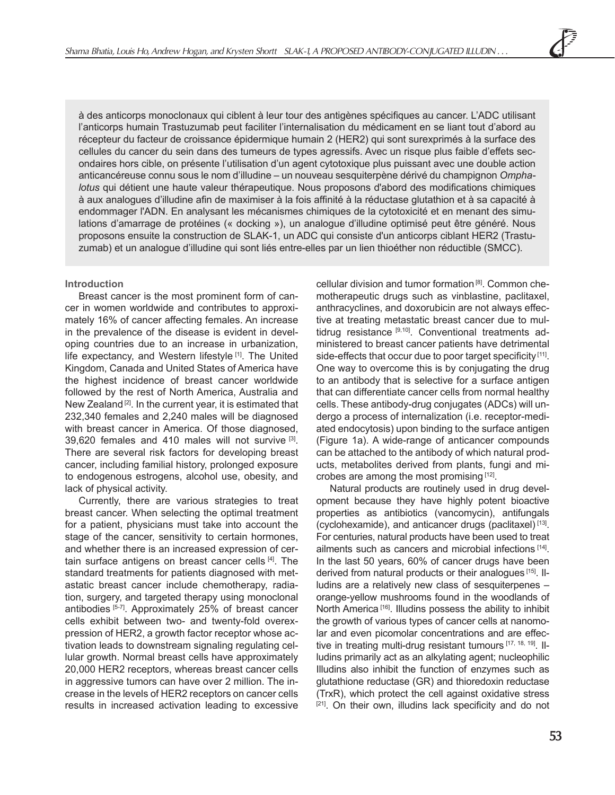à des anticorps monoclonaux qui ciblent à leur tour des antigènes spécifiques au cancer. L'ADC utilisant l'anticorps humain Trastuzumab peut faciliter l'internalisation du médicament en se liant tout d'abord au récepteur du facteur de croissance épidermique humain 2 (HER2) qui sont surexprimés à la surface des cellules du cancer du sein dans des tumeurs de types agressifs. Avec un risque plus faible d'effets secondaires hors cible, on présente l'utilisation d'un agent cytotoxique plus puissant avec une double action anticancéreuse connu sous le nom d'illudine – un nouveau sesquiterpène dérivé du champignon *Omphalotus* qui détient une haute valeur thérapeutique. Nous proposons d'abord des modifications chimiques à aux analogues d'illudine afin de maximiser à la fois affinité à la réductase glutathion et à sa capacité à endommager l'ADN. En analysant les mécanismes chimiques de la cytotoxicité et en menant des simulations d'amarrage de protéines (« docking »), un analogue d'illudine optimisé peut être généré. Nous proposons ensuite la construction de SLAK-1, un ADC qui consiste d'un anticorps ciblant HER2 (Trastuzumab) et un analogue d'illudine qui sont liés entre-elles par un lien thioéther non réductible (SMCC).

# **Introduction**

Breast cancer is the most prominent form of cancer in women worldwide and contributes to approximately 16% of cancer affecting females. An increase in the prevalence of the disease is evident in developing countries due to an increase in urbanization, life expectancy, and Western lifestyle [1]. The United Kingdom, Canada and United States of America have the highest incidence of breast cancer worldwide followed by the rest of North America, Australia and New Zealand<sup>[2]</sup>. In the current year, it is estimated that 232,340 females and 2,240 males will be diagnosed with breast cancer in America. Of those diagnosed, 39,620 females and 410 males will not survive [3]. There are several risk factors for developing breast cancer, including familial history, prolonged exposure to endogenous estrogens, alcohol use, obesity, and lack of physical activity.

Currently, there are various strategies to treat breast cancer. When selecting the optimal treatment for a patient, physicians must take into account the stage of the cancer, sensitivity to certain hormones, and whether there is an increased expression of certain surface antigens on breast cancer cells [4]. The standard treatments for patients diagnosed with metastatic breast cancer include chemotherapy, radiation, surgery, and targeted therapy using monoclonal antibodies [5-7]. Approximately 25% of breast cancer cells exhibit between two- and twenty-fold overexpression of HER2, a growth factor receptor whose activation leads to downstream signaling regulating cellular growth. Normal breast cells have approximately 20,000 HER2 receptors, whereas breast cancer cells in aggressive tumors can have over 2 million. The increase in the levels of HER2 receptors on cancer cells results in increased activation leading to excessive

cellular division and tumor formation [8]. Common chemotherapeutic drugs such as vinblastine, paclitaxel, anthracyclines, and doxorubicin are not always effective at treating metastatic breast cancer due to multidrug resistance  $[9,10]$ . Conventional treatments administered to breast cancer patients have detrimental side-effects that occur due to poor target specificity [11]. One way to overcome this is by conjugating the drug to an antibody that is selective for a surface antigen that can differentiate cancer cells from normal healthy cells. These antibody-drug conjugates (ADCs) will undergo a process of internalization (i.e. receptor-mediated endocytosis) upon binding to the surface antigen (Figure 1a). A wide-range of anticancer compounds can be attached to the antibody of which natural products, metabolites derived from plants, fungi and microbes are among the most promising [12].

Natural products are routinely used in drug development because they have highly potent bioactive properties as antibiotics (vancomycin), antifungals (cyclohexamide), and anticancer drugs (paclitaxel) [13]. For centuries, natural products have been used to treat ailments such as cancers and microbial infections [14]. In the last 50 years, 60% of cancer drugs have been derived from natural products or their analogues [15]. Illudins are a relatively new class of sesquiterpenes – orange-yellow mushrooms found in the woodlands of North America<sup>[16]</sup>. Illudins possess the ability to inhibit the growth of various types of cancer cells at nanomolar and even picomolar concentrations and are effective in treating multi-drug resistant tumours [17, 18, 19]. Illudins primarily act as an alkylating agent; nucleophilic Illudins also inhibit the function of enzymes such as glutathione reductase (GR) and thioredoxin reductase (TrxR), which protect the cell against oxidative stress [21]. On their own, illudins lack specificity and do not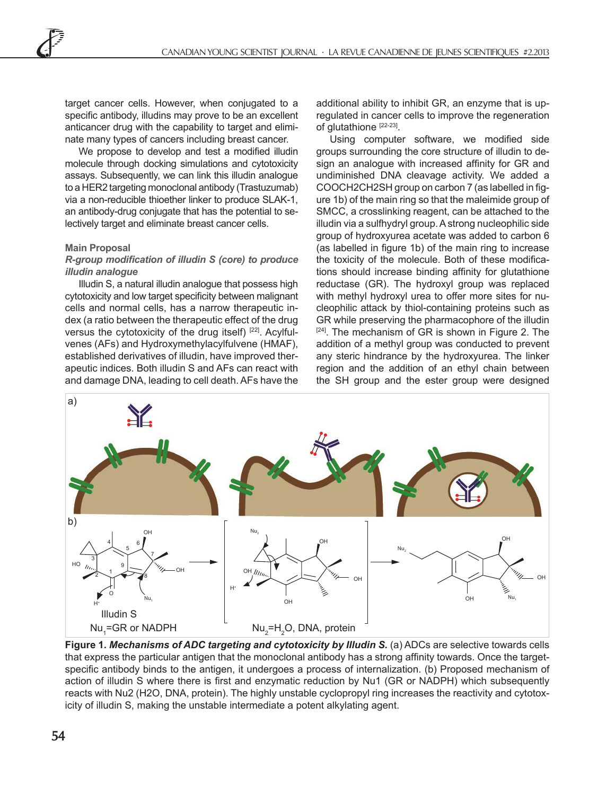target cancer cells. However, when conjugated to a specific antibody, illudins may prove to be an excellent anticancer drug with the capability to target and eliminate many types of cancers including breast cancer.

We propose to develop and test a modified illudin molecule through docking simulations and cytotoxicity assays. Subsequently, we can link this illudin analogue to a HER2 targeting monoclonal antibody (Trastuzumab) via a non-reducible thioether linker to produce SLAK-1, an antibody-drug conjugate that has the potential to selectively target and eliminate breast cancer cells.

## **Main Proposal**

## *R-group modification of illudin S (core) to produce illudin analogue*

Illudin S, a natural illudin analogue that possess high cytotoxicity and low target specificity between malignant cells and normal cells, has a narrow therapeutic index (a ratio between the therapeutic effect of the drug versus the cytotoxicity of the drug itself) [22]. Acylfulvenes (AFs) and Hydroxymethylacylfulvene (HMAF), established derivatives of illudin, have improved therapeutic indices. Both illudin S and AFs can react with and damage DNA, leading to cell death. AFs have the

additional ability to inhibit GR, an enzyme that is upregulated in cancer cells to improve the regeneration of glutathione [22-23].

Using computer software, we modified side groups surrounding the core structure of illudin to design an analogue with increased affinity for GR and undiminished DNA cleavage activity. We added a COOCH2CH2SH group on carbon 7 (as labelled in figure 1b) of the main ring so that the maleimide group of SMCC, a crosslinking reagent, can be attached to the illudin via a sulfhydryl group. A strong nucleophilic side group of hydroxyurea acetate was added to carbon 6 (as labelled in figure 1b) of the main ring to increase the toxicity of the molecule. Both of these modifications should increase binding affinity for glutathione reductase (GR). The hydroxyl group was replaced with methyl hydroxyl urea to offer more sites for nucleophilic attack by thiol-containing proteins such as GR while preserving the pharmacophore of the illudin [24]. The mechanism of GR is shown in Figure 2. The addition of a methyl group was conducted to prevent any steric hindrance by the hydroxyurea. The linker region and the addition of an ethyl chain between the SH group and the ester group were designed



**Figure 1.** *Mechanisms of ADC targeting and cytotoxicity by Illudin S.* (a) ADCs are selective towards cells that express the particular antigen that the monoclonal antibody has a strong affinity towards. Once the targetspecific antibody binds to the antigen, it undergoes a process of internalization. (b) Proposed mechanism of action of illudin S where there is first and enzymatic reduction by Nu1 (GR or NADPH) which subsequently reacts with Nu2 (H2O, DNA, protein). The highly unstable cyclopropyl ring increases the reactivity and cytotoxicity of illudin S, making the unstable intermediate a potent alkylating agent.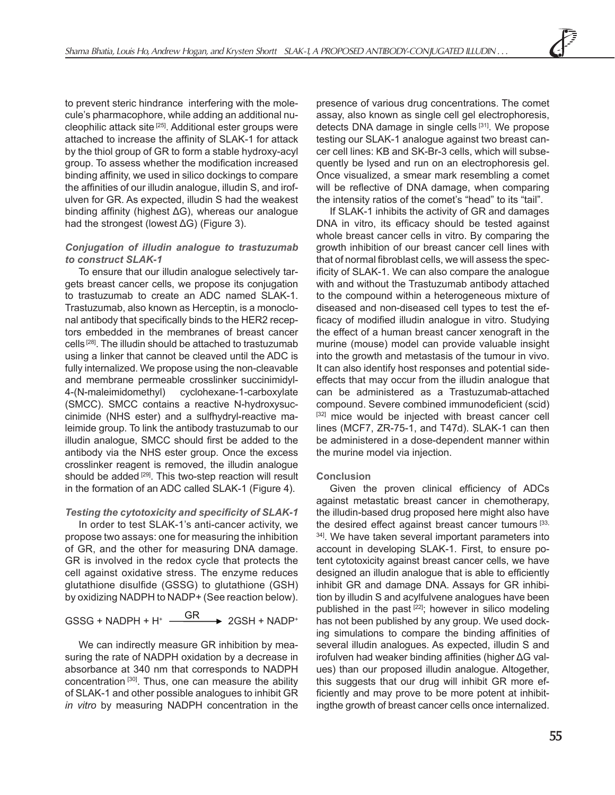to prevent steric hindrance interfering with the molecule's pharmacophore, while adding an additional nucleophilic attack site [25]. Additional ester groups were attached to increase the affinity of SLAK-1 for attack by the thiol group of GR to form a stable hydroxy-acyl group. To assess whether the modification increased binding affinity, we used in silico dockings to compare the affinities of our illudin analogue, illudin S, and irofulven for GR. As expected, illudin S had the weakest binding affinity (highest ΔG), whereas our analogue had the strongest (lowest ΔG) (Figure 3).

## *Conjugation of illudin analogue to trastuzumab to construct SLAK-1*

To ensure that our illudin analogue selectively targets breast cancer cells, we propose its conjugation to trastuzumab to create an ADC named SLAK-1. Trastuzumab, also known as Herceptin, is a monoclonal antibody that specifically binds to the HER2 receptors embedded in the membranes of breast cancer cells [28]. The illudin should be attached to trastuzumab using a linker that cannot be cleaved until the ADC is fully internalized. We propose using the non-cleavable and membrane permeable crosslinker succinimidyl-4-(N-maleimidomethyl) cyclohexane-1-carboxylate (SMCC). SMCC contains a reactive N-hydroxysuccinimide (NHS ester) and a sulfhydryl-reactive maleimide group. To link the antibody trastuzumab to our illudin analogue, SMCC should first be added to the antibody via the NHS ester group. Once the excess crosslinker reagent is removed, the illudin analogue should be added <sup>[29]</sup>. This two-step reaction will result in the formation of an ADC called SLAK-1 (Figure 4).

# *Testing the cytotoxicity and specificity of SLAK-1*

In order to test SLAK-1's anti-cancer activity, we propose two assays: one for measuring the inhibition of GR, and the other for measuring DNA damage. GR is involved in the redox cycle that protects the cell against oxidative stress. The enzyme reduces glutathione disulfide (GSSG) to glutathione (GSH) by oxidizing NADPH to NADP+ (See reaction below).

GR  $GSSG + NADPH + H^+ \xrightarrow{\text{GR}} 2GSH + NADP^+$ 

We can indirectly measure GR inhibition by measuring the rate of NADPH oxidation by a decrease in absorbance at 340 nm that corresponds to NADPH concentration<sup>[30]</sup>. Thus, one can measure the ability of SLAK-1 and other possible analogues to inhibit GR *in vitro* by measuring NADPH concentration in the presence of various drug concentrations. The comet assay, also known as single cell gel electrophoresis, detects DNA damage in single cells [31]. We propose testing our SLAK-1 analogue against two breast cancer cell lines: KB and SK-Br-3 cells, which will subsequently be lysed and run on an electrophoresis gel. Once visualized, a smear mark resembling a comet will be reflective of DNA damage, when comparing the intensity ratios of the comet's "head" to its "tail".

If SLAK-1 inhibits the activity of GR and damages DNA in vitro, its efficacy should be tested against whole breast cancer cells in vitro. By comparing the growth inhibition of our breast cancer cell lines with that of normal fibroblast cells, we will assess the specificity of SLAK-1. We can also compare the analogue with and without the Trastuzumab antibody attached to the compound within a heterogeneous mixture of diseased and non-diseased cell types to test the efficacy of modified illudin analogue in vitro. Studying the effect of a human breast cancer xenograft in the murine (mouse) model can provide valuable insight into the growth and metastasis of the tumour in vivo. It can also identify host responses and potential sideeffects that may occur from the illudin analogue that can be administered as a Trastuzumab-attached compound. Severe combined immunodeficient (scid) [32] mice would be injected with breast cancer cell lines (MCF7, ZR-75-1, and T47d). SLAK-1 can then be administered in a dose-dependent manner within the murine model via injection.

#### **Conclusion**

Given the proven clinical efficiency of ADCs against metastatic breast cancer in chemotherapy, the illudin-based drug proposed here might also have the desired effect against breast cancer tumours [33, <sup>34]</sup>. We have taken several important parameters into account in developing SLAK-1. First, to ensure potent cytotoxicity against breast cancer cells, we have designed an illudin analogue that is able to efficiently inhibit GR and damage DNA. Assays for GR inhibition by illudin S and acylfulvene analogues have been published in the past [22]; however in silico modeling has not been published by any group. We used docking simulations to compare the binding affinities of several illudin analogues. As expected, illudin S and irofulven had weaker binding affinities (higher ΔG values) than our proposed illudin analogue. Altogether, this suggests that our drug will inhibit GR more efficiently and may prove to be more potent at inhibitingthe growth of breast cancer cells once internalized.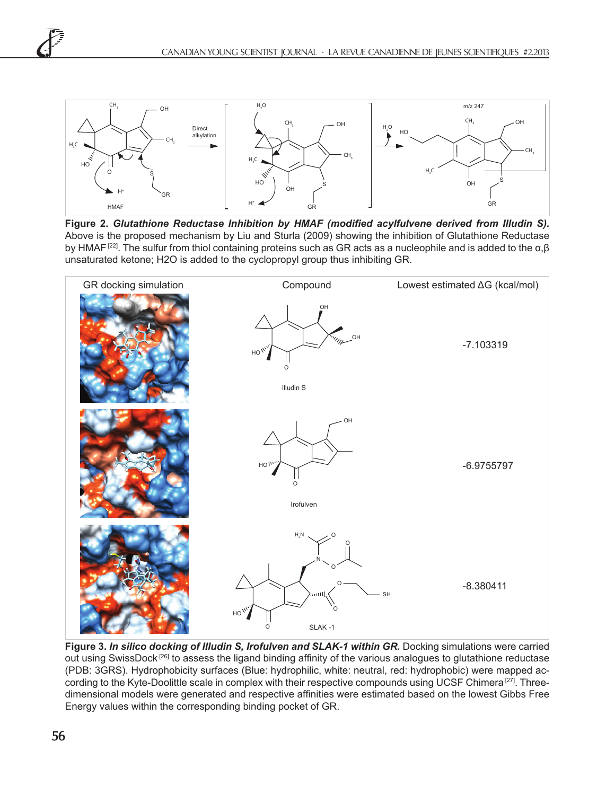

**Figure 2.** *Glutathione Reductase Inhibition by HMAF (modified acylfulvene derived from Illudin S).*  Above is the proposed mechanism by Liu and Sturla (2009) showing the inhibition of Glutathione Reductase by HMAF<sup>[22]</sup>. The sulfur from thiol containing proteins such as GR acts as a nucleophile and is added to the α,β unsaturated ketone; H2O is added to the cyclopropyl group thus inhibiting GR.



**Figure 3.** *In silico docking of Illudin S, Irofulven and SLAK-1 within GR.* Docking simulations were carried out using SwissDock<sup>[26]</sup> to assess the ligand binding affinity of the various analogues to glutathione reductase (PDB: 3GRS). Hydrophobicity surfaces (Blue: hydrophilic, white: neutral, red: hydrophobic) were mapped according to the Kyte-Doolittle scale in complex with their respective compounds using UCSF Chimera [27]. Threedimensional models were generated and respective affinities were estimated based on the lowest Gibbs Free Energy values within the corresponding binding pocket of GR.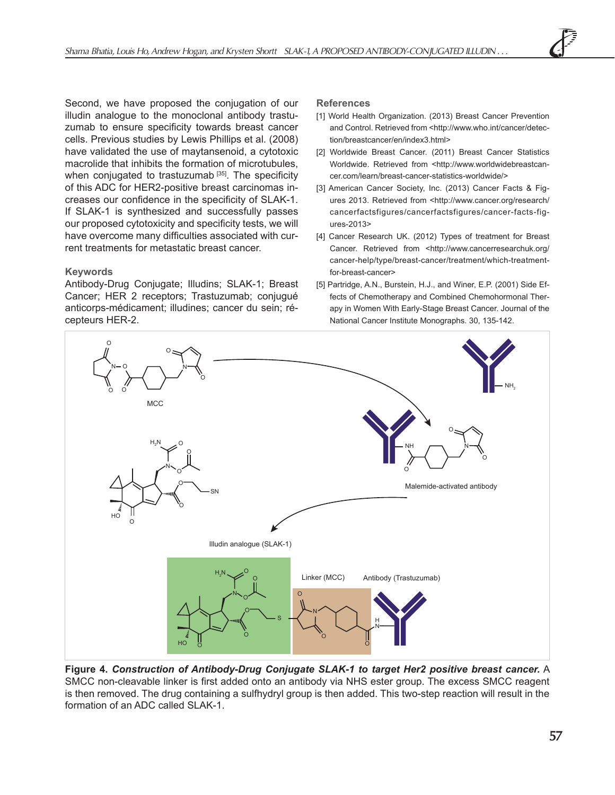Second, we have proposed the conjugation of our illudin analogue to the monoclonal antibody trastuzumab to ensure specificity towards breast cancer cells. Previous studies by Lewis Phillips et al. (2008) have validated the use of maytansenoid, a cytotoxic macrolide that inhibits the formation of microtubules, when conjugated to trastuzumab<sup>[35]</sup>. The specificity of this ADC for HER2-positive breast carcinomas increases our confidence in the specificity of SLAK-1. If SLAK-1 is synthesized and successfully passes our proposed cytotoxicity and specificity tests, we will have overcome many difficulties associated with current treatments for metastatic breast cancer.

# **Keywords**

Antibody-Drug Conjugate; Illudins; SLAK-1; Breast Cancer; HER 2 receptors; Trastuzumab; conjugué anticorps-médicament; illudines; cancer du sein; récepteurs HER-2.

## **References**

- [1] World Health Organization. (2013) Breast Cancer Prevention and Control. Retrieved from <http://www.who.int/cancer/detection/breastcancer/en/index3.html>
- [2] Worldwide Breast Cancer. (2011) Breast Cancer Statistics Worldwide. Retrieved from <http://www.worldwidebreastcancer.com/learn/breast-cancer-statistics-worldwide/>
- [3] American Cancer Society, Inc. (2013) Cancer Facts & Figures 2013. Retrieved from <http://www.cancer.org/research/ cancerfactsfigures/cancerfactsfigures/cancer-facts-figures-2013>
- [4] Cancer Research UK. (2012) Types of treatment for Breast Cancer. Retrieved from <http://www.cancerresearchuk.org/ cancer-help/type/breast-cancer/treatment/which-treatmentfor-breast-cancer>
- [5] Partridge, A.N., Burstein, H.J., and Winer, E.P. (2001) Side Effects of Chemotherapy and Combined Chemohormonal Therapy in Women With Early-Stage Breast Cancer. Journal of the National Cancer Institute Monographs. 30, 135-142.



**Figure 4.** *Construction of Antibody-Drug Conjugate SLAK-1 to target Her2 positive breast cancer.* A SMCC non-cleavable linker is first added onto an antibody via NHS ester group. The excess SMCC reagent is then removed. The drug containing a sulfhydryl group is then added. This two-step reaction will result in the formation of an ADC called SLAK-1.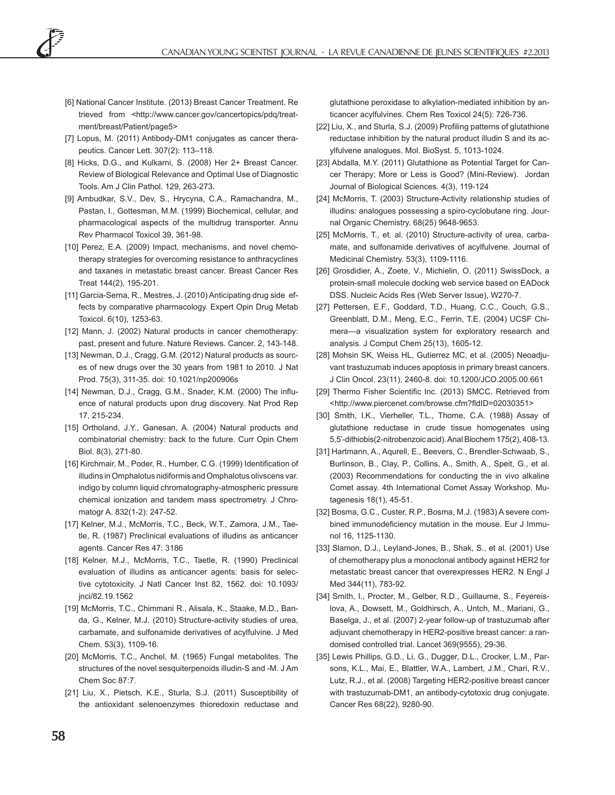- [6] National Cancer Institute. (2013) Breast Cancer Treatment. Re trieved from <http://www.cancer.gov/cancertopics/pdq/treatment/breast/Patient/page5>
- [7] Lopus, M. (2011) Antibody-DM1 conjugates as cancer therapeutics. Cancer Lett. 307(2): 113–118.
- [8] Hicks, D.G., and Kulkarni, S. (2008) Her 2+ Breast Cancer. Review of Biological Relevance and Optimal Use of Diagnostic Tools. Am J Clin Pathol. 129, 263-273.
- [9] Ambudkar, S.V., Dev, S., Hrycyna, C.A., Ramachandra, M., Pastan, I., Gottesman, M.M. (1999) Biochemical, cellular, and pharmacological aspects of the multidrug transporter. Annu Rev Pharmacol Toxicol 39, 361-98.
- [10] Perez, E.A. (2009) Impact, mechanisms, and novel chemotherapy strategies for overcoming resistance to anthracyclines and taxanes in metastatic breast cancer. Breast Cancer Res Treat 144(2), 195-201.
- [11] Garcia-Serna, R., Mestres, J. (2010) Anticipating drug side effects by comparative pharmacology. Expert Opin Drug Metab Toxicol. 6(10), 1253-63.
- [12] Mann, J. (2002) Natural products in cancer chemotherapy: past, present and future. Nature Reviews. Cancer. 2, 143-148.
- [13] Newman, D.J., Cragg, G.M. (2012) Natural products as sources of new drugs over the 30 years from 1981 to 2010. J Nat Prod. 75(3), 311-35. doi: 10.1021/np200906s
- [14] Newman, D.J., Cragg, G.M., Snader, K.M. (2000) The influence of natural products upon drug discovery. Nat Prod Rep 17, 215-234.
- [15] Ortholand, J.Y., Ganesan, A. (2004) Natural products and combinatorial chemistry: back to the future. Curr Opin Chem Biol. 8(3), 271-80.
- [16] Kirchmair, M., Poder, R., Humber, C.G. (1999) Identification of illudins in Omphalotus nidiformis and Omphalotus olivscens var. indigo by column liquid chromatography-atmospheric pressure chemical ionization and tandem mass spectrometry. J Chromatogr A. 832(1-2): 247-52.
- [17] Kelner, M.J., McMorris, T.C., Beck, W.T., Zamora, J.M., Taetle, R. (1987) Preclinical evaluations of illudins as anticancer agents. Cancer Res 47: 3186
- [18] Kelner, M.J., McMorris, T.C., Taetle, R. (1990) Preclinical evaluation of illudins as anticancer agents: basis for selective cytotoxicity. J Natl Cancer Inst 82, 1562. doi: 10.1093/ jnci/82.19.1562
- [19] McMorris, T.C., Chimmani R., Alisala, K., Staake, M.D., Banda, G., Kelner, M.J. (2010) Structure-activity studies of urea, carbamate, and sulfonamide derivatives of acylfulvine. J Med Chem. 53(3), 1109-16.
- [20] McMorris, T.C., Anchel, M. (1965) Fungal metabolites. The structures of the novel sesquiterpenoids illudin-S and -M. J Am Chem Soc 87:7.
- [21] Liu, X., Pietsch, K.E., Sturla, S.J. (2011) Susceptibility of the antioxidant selenoenzymes thioredoxin reductase and

glutathione peroxidase to alkylation-mediated inhibition by anticancer acylfulvines. Chem Res Toxicol 24(5): 726-736.

- [22] Liu, X., and Sturla, S.J. (2009) Profiling patterns of glutathione reductase inhibition by the natural product illudin S and its acylfulvene analogues. Mol. BioSyst. 5, 1013-1024.
- [23] Abdalla, M.Y. (2011) Glutathione as Potential Target for Cancer Therapy; More or Less is Good? (Mini-Review). Jordan Journal of Biological Sciences. 4(3), 119-124
- [24] McMorris, T. (2003) Structure-Activity relationship studies of illudins: analogues possessing a spiro-cyclobutane ring. Journal Organic Chemistry. 68(25) 9648-9653.
- [25] McMorris, T., et. al. (2010) Structure-activity of urea, carbamate, and sulfonamide derivatives of acylfulvene. Journal of Medicinal Chemistry. 53(3), 1109-1116.
- [26] Grosdidier, A., Zoete, V., Michielin, O. (2011) SwissDock, a protein-small molecule docking web service based on EADock DSS. Nucleic Acids Res (Web Server Issue), W270-7.
- [27] Pettersen, E.F., Goddard, T.D., Huang, C.C., Couch, G.S., Greenblatt, D.M., Meng, E.C., Ferrin, T.E. (2004) UCSF Chimera—a visualization system for exploratory research and analysis. J Comput Chem 25(13), 1605-12.
- [28] Mohsin SK, Weiss HL, Gutierrez MC, et al. (2005) Neoadiuvant trastuzumab induces apoptosis in primary breast cancers. J Clin Oncol. 23(11), 2460-8. doi: 10.1200/JCO.2005.00.661
- [29] Thermo Fisher Scientific Inc. (2013) SMCC. Retrieved from <http://www.piercenet.com/browse.cfm?fldID=02030351>
- [30] Smith, I.K., Vierheller, T.L., Thorne, C.A. (1988) Assay of glutathione reductase in crude tissue homogenates using 5,5'-dithiobis(2-nitrobenzoic acid). Anal Biochem 175(2), 408-13.
- [31] Hartmann, A., Aqurell, E., Beevers, C., Brendler-Schwaab, S., Burlinson, B., Clay, P., Collins, A., Smith, A., Speit, G., et al. (2003) Recommendations for conducting the in vivo alkaline Comet assay. 4th International Comet Assay Workshop. Mutagenesis 18(1), 45-51.
- [32] Bosma, G.C., Custer, R.P., Bosma, M.J. (1983) A severe combined immunodeficiency mutation in the mouse. Eur J Immunol 16, 1125-1130.
- [33] Slamon, D.J., Leyland-Jones, B., Shak, S., et al. (2001) Use of chemotherapy plus a monoclonal antibody against HER2 for metastatic breast cancer that overexpresses HER2. N Engl J Med 344(11), 783-92.
- [34] Smith, I., Procter, M., Gelber, R.D., Guillaume, S., Feyereislova, A., Dowsett, M., Goldhirsch, A., Untch, M., Mariani, G., Baselga, J., et al. (2007) 2-year follow-up of trastuzumab after adjuvant chemotherapy in HER2-positive breast cancer: a randomised controlled trial. Lancet 369(9555), 29-36.
- [35] Lewis Phillips, G.D., Li, G., Dugger, D.L., Crocker, L.M., Parsons, K.L., Mai, E., Blattler, W.A., Lambert, J.M., Chari, R.V., Lutz, R.J., et al. (2008) Targeting HER2-positive breast cancer with trastuzumab-DM1, an antibody-cytotoxic drug conjugate. Cancer Res 68(22), 9280-90.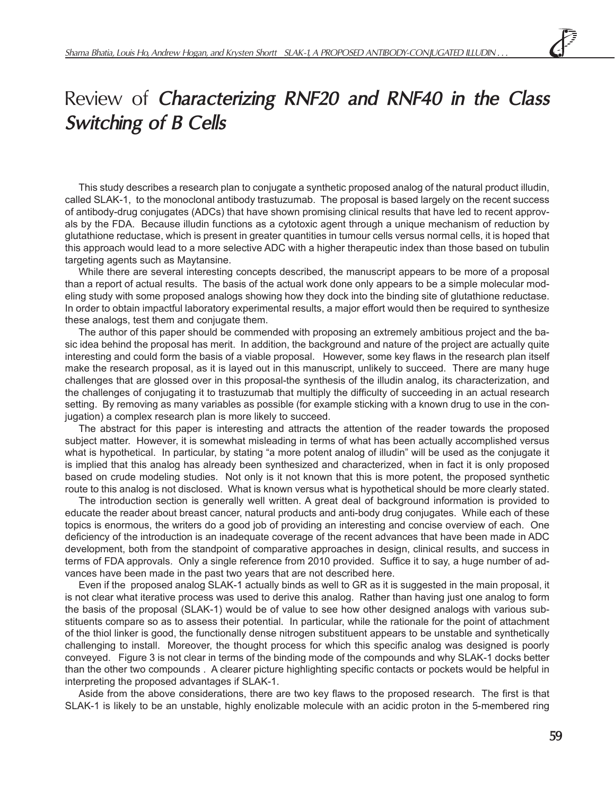# Review of **Characterizing RNF20 and RNF40 in the Class Switching of B Cells**

This study describes a research plan to conjugate a synthetic proposed analog of the natural product illudin, called SLAK-1, to the monoclonal antibody trastuzumab. The proposal is based largely on the recent success of antibody-drug conjugates (ADCs) that have shown promising clinical results that have led to recent approvals by the FDA. Because illudin functions as a cytotoxic agent through a unique mechanism of reduction by glutathione reductase, which is present in greater quantities in tumour cells versus normal cells, it is hoped that this approach would lead to a more selective ADC with a higher therapeutic index than those based on tubulin targeting agents such as Maytansine.

While there are several interesting concepts described, the manuscript appears to be more of a proposal than a report of actual results. The basis of the actual work done only appears to be a simple molecular modeling study with some proposed analogs showing how they dock into the binding site of glutathione reductase. In order to obtain impactful laboratory experimental results, a major effort would then be required to synthesize these analogs, test them and conjugate them.

The author of this paper should be commended with proposing an extremely ambitious project and the basic idea behind the proposal has merit. In addition, the background and nature of the project are actually quite interesting and could form the basis of a viable proposal. However, some key flaws in the research plan itself make the research proposal, as it is layed out in this manuscript, unlikely to succeed. There are many huge challenges that are glossed over in this proposal-the synthesis of the illudin analog, its characterization, and the challenges of conjugating it to trastuzumab that multiply the difficulty of succeeding in an actual research setting. By removing as many variables as possible (for example sticking with a known drug to use in the conjugation) a complex research plan is more likely to succeed.

The abstract for this paper is interesting and attracts the attention of the reader towards the proposed subject matter. However, it is somewhat misleading in terms of what has been actually accomplished versus what is hypothetical. In particular, by stating "a more potent analog of illudin" will be used as the conjugate it is implied that this analog has already been synthesized and characterized, when in fact it is only proposed based on crude modeling studies. Not only is it not known that this is more potent, the proposed synthetic route to this analog is not disclosed. What is known versus what is hypothetical should be more clearly stated.

The introduction section is generally well written. A great deal of background information is provided to educate the reader about breast cancer, natural products and anti-body drug conjugates. While each of these topics is enormous, the writers do a good job of providing an interesting and concise overview of each. One deficiency of the introduction is an inadequate coverage of the recent advances that have been made in ADC development, both from the standpoint of comparative approaches in design, clinical results, and success in terms of FDA approvals. Only a single reference from 2010 provided. Suffice it to say, a huge number of advances have been made in the past two years that are not described here.

Even if the proposed analog SLAK-1 actually binds as well to GR as it is suggested in the main proposal, it is not clear what iterative process was used to derive this analog. Rather than having just one analog to form the basis of the proposal (SLAK-1) would be of value to see how other designed analogs with various substituents compare so as to assess their potential. In particular, while the rationale for the point of attachment of the thiol linker is good, the functionally dense nitrogen substituent appears to be unstable and synthetically challenging to install. Moreover, the thought process for which this specific analog was designed is poorly conveyed. Figure 3 is not clear in terms of the binding mode of the compounds and why SLAK-1 docks better than the other two compounds . A clearer picture highlighting specific contacts or pockets would be helpful in interpreting the proposed advantages if SLAK-1.

Aside from the above considerations, there are two key flaws to the proposed research. The first is that SLAK-1 is likely to be an unstable, highly enolizable molecule with an acidic proton in the 5-membered ring